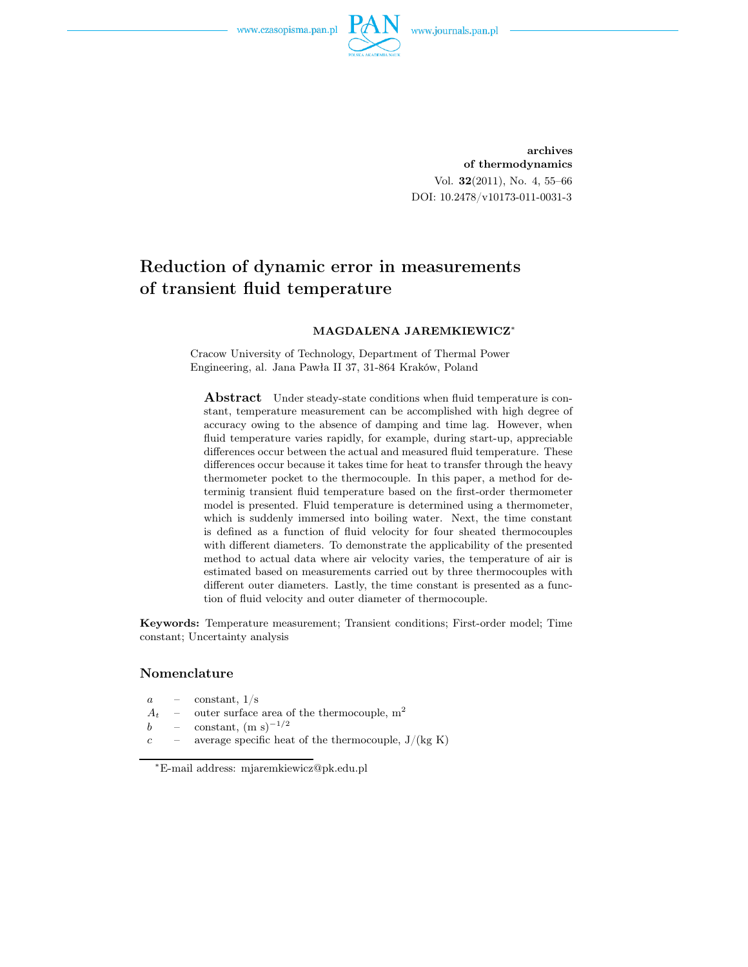

archives of thermodynamics Vol. 32(2011), No. 4, 55–66 DOI: 10.2478/v10173-011-0031-3

# Reduction of dynamic error in measurements of transient fluid temperature

#### MAGDALENA JAREMKIEWICZ<sup>∗</sup>

Cracow University of Technology, Department of Thermal Power Engineering, al. Jana Pawła II 37, 31-864 Kraków, Poland

**Abstract** Under steady-state conditions when fluid temperature is constant, temperature measurement can be accomplished with high degree of accuracy owing to the absence of damping and time lag. However, when fluid temperature varies rapidly, for example, during start-up, appreciable differences occur between the actual and measured fluid temperature. These differences occur because it takes time for heat to transfer through the heavy thermometer pocket to the thermocouple. In this paper, a method for determinig transient fluid temperature based on the first-order thermometer model is presented. Fluid temperature is determined using a thermometer, which is suddenly immersed into boiling water. Next, the time constant is defined as a function of fluid velocity for four sheated thermocouples with different diameters. To demonstrate the applicability of the presented method to actual data where air velocity varies, the temperature of air is estimated based on measurements carried out by three thermocouples with different outer diameters. Lastly, the time constant is presented as a function of fluid velocity and outer diameter of thermocouple.

Keywords: Temperature measurement; Transient conditions; First-order model; Time constant; Uncertainty analysis

#### Nomenclature

 $a =$ constant,  $1/s$ 

 $A_t$  – outer surface area of the thermocouple,  $m^2$ 

- b constant,  $(m s)^{-1/2}$
- $c$  average specific heat of the thermocouple,  $J/(kg K)$

<sup>∗</sup>E-mail address: mjaremkiewicz@pk.edu.pl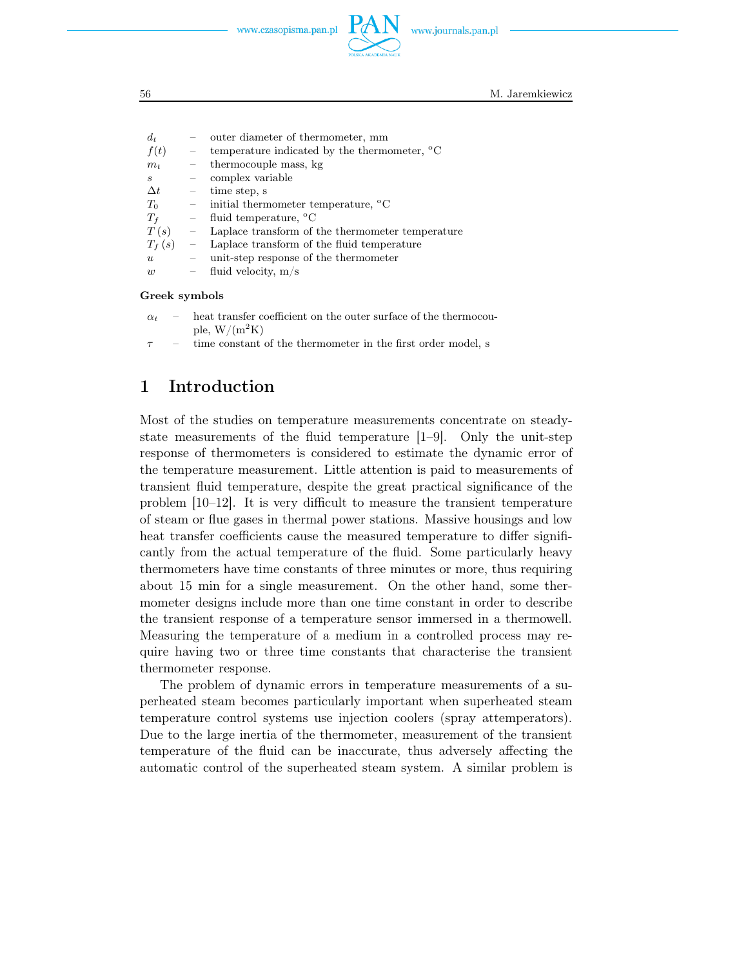www.journals.pan.pl



56 M. Jaremkiewicz

| $d_t$            |                          | outer diameter of thermometer, mm                                |
|------------------|--------------------------|------------------------------------------------------------------|
| f(t)             | $\frac{1}{2}$            | temperature indicated by the thermometer, $^{\circ}C$            |
| $m_t$            | $\overline{\phantom{m}}$ | thermocouple mass, kg                                            |
| S                | $\overline{\phantom{a}}$ | complex variable                                                 |
| $\Delta t$       |                          | $-$ time step, s                                                 |
| $T_0$            |                          | $\blacksquare$ initial thermometer temperature, $\rm{^{\circ}C}$ |
| $T_f$            |                          | $\blacksquare$ fluid temperature, $^{\circ}$ C                   |
| $T(s) =$         |                          | Laplace transform of the thermometer temperature                 |
| $T_f(s)$         | $\frac{1}{2}$            | Laplace transform of the fluid temperature                       |
| $\boldsymbol{u}$ |                          | unit-step response of the thermometer                            |
| w                |                          | $-$ fluid velocity, m/s                                          |
|                  |                          |                                                                  |

#### Greek symbols

- $\alpha_t$  heat transfer coefficient on the outer surface of the thermocouple,  $W/(m^2K)$
- $\tau$  time constant of the thermometer in the first order model, s

### 1 Introduction

Most of the studies on temperature measurements concentrate on steadystate measurements of the fluid temperature [1–9]. Only the unit-step response of thermometers is considered to estimate the dynamic error of the temperature measurement. Little attention is paid to measurements of transient fluid temperature, despite the great practical significance of the problem [10–12]. It is very difficult to measure the transient temperature of steam or flue gases in thermal power stations. Massive housings and low heat transfer coefficients cause the measured temperature to differ significantly from the actual temperature of the fluid. Some particularly heavy thermometers have time constants of three minutes or more, thus requiring about 15 min for a single measurement. On the other hand, some thermometer designs include more than one time constant in order to describe the transient response of a temperature sensor immersed in a thermowell. Measuring the temperature of a medium in a controlled process may require having two or three time constants that characterise the transient thermometer response.

The problem of dynamic errors in temperature measurements of a superheated steam becomes particularly important when superheated steam temperature control systems use injection coolers (spray attemperators). Due to the large inertia of the thermometer, measurement of the transient temperature of the fluid can be inaccurate, thus adversely affecting the automatic control of the superheated steam system. A similar problem is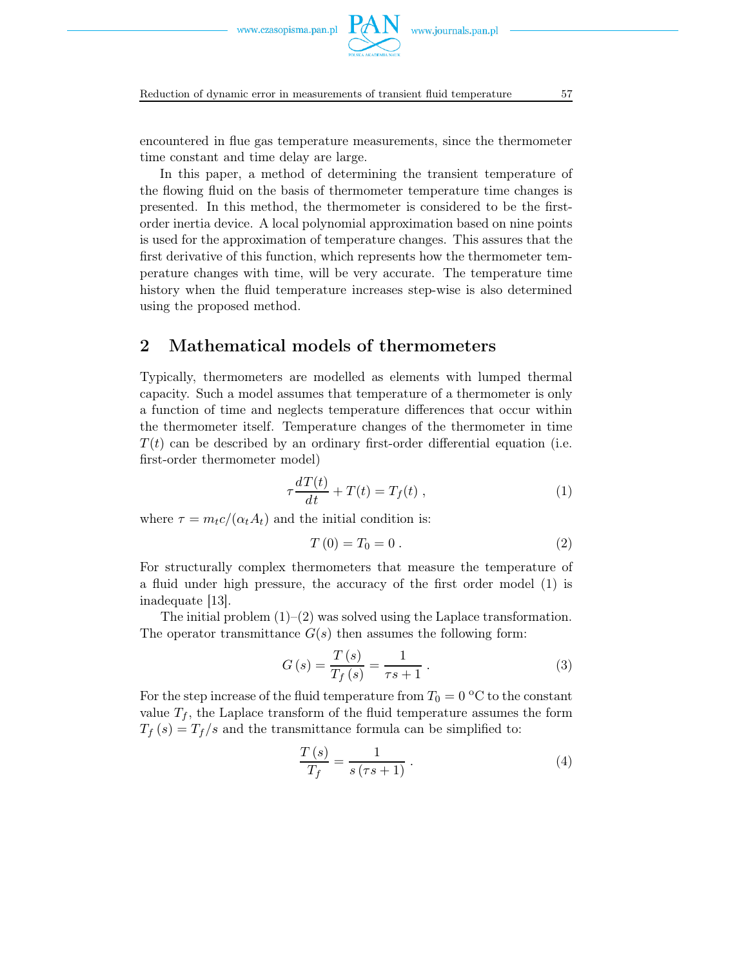

Reduction of dynamic error in measurements of transient fluid temperature 57

encountered in flue gas temperature measurements, since the thermometer time constant and time delay are large.

In this paper, a method of determining the transient temperature of the flowing fluid on the basis of thermometer temperature time changes is presented. In this method, the thermometer is considered to be the firstorder inertia device. A local polynomial approximation based on nine points is used for the approximation of temperature changes. This assures that the first derivative of this function, which represents how the thermometer temperature changes with time, will be very accurate. The temperature time history when the fluid temperature increases step-wise is also determined using the proposed method.

### 2 Mathematical models of thermometers

Typically, thermometers are modelled as elements with lumped thermal capacity. Such a model assumes that temperature of a thermometer is only a function of time and neglects temperature differences that occur within the thermometer itself. Temperature changes of the thermometer in time  $T(t)$  can be described by an ordinary first-order differential equation (i.e. first-order thermometer model)

$$
\tau \frac{dT(t)}{dt} + T(t) = T_f(t) , \qquad (1)
$$

where  $\tau = m_t c / (\alpha_t A_t)$  and the initial condition is:

$$
T(0) = T_0 = 0.
$$
 (2)

For structurally complex thermometers that measure the temperature of a fluid under high pressure, the accuracy of the first order model (1) is inadequate [13].

The initial problem  $(1)$ – $(2)$  was solved using the Laplace transformation. The operator transmittance  $G(s)$  then assumes the following form:

$$
G(s) = \frac{T(s)}{T_f(s)} = \frac{1}{\tau s + 1}.
$$
 (3)

For the step increase of the fluid temperature from  $T_0 = 0$  °C to the constant value  $T_f$ , the Laplace transform of the fluid temperature assumes the form  $T_f(s) = T_f/s$  and the transmittance formula can be simplified to:

$$
\frac{T(s)}{T_f} = \frac{1}{s\left(\tau s + 1\right)}\,. \tag{4}
$$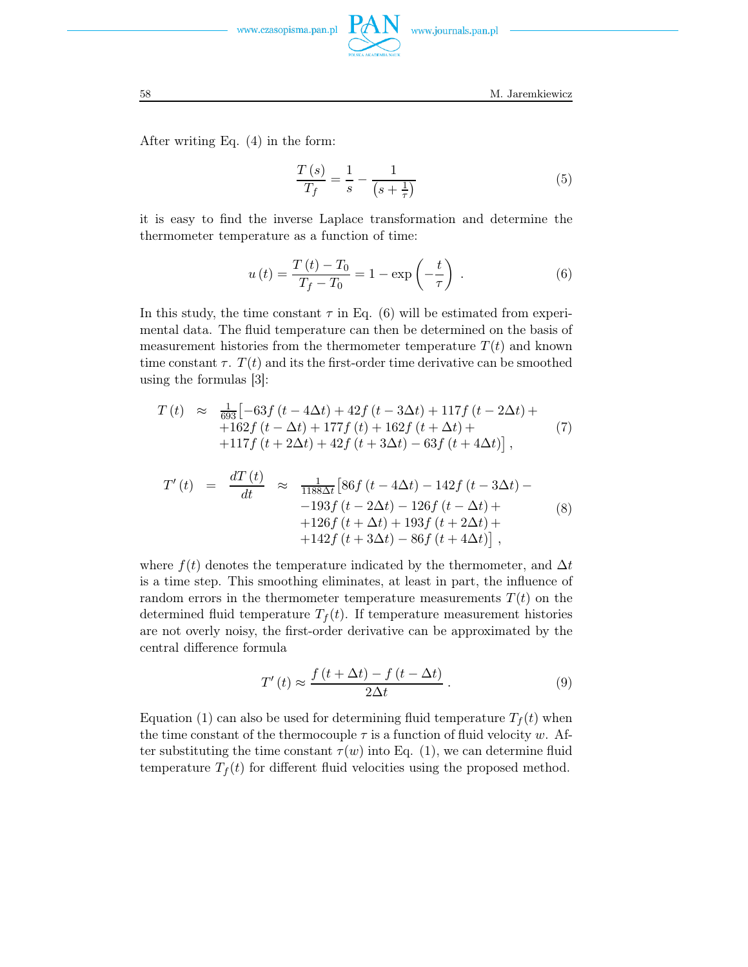

58 M. Jaremkiewicz

After writing Eq. (4) in the form:

$$
\frac{T(s)}{T_f} = \frac{1}{s} - \frac{1}{(s + \frac{1}{\tau})}
$$
(5)

it is easy to find the inverse Laplace transformation and determine the thermometer temperature as a function of time:

$$
u(t) = \frac{T(t) - T_0}{T_f - T_0} = 1 - \exp\left(-\frac{t}{\tau}\right) .
$$
 (6)

In this study, the time constant  $\tau$  in Eq. (6) will be estimated from experimental data. The fluid temperature can then be determined on the basis of measurement histories from the thermometer temperature  $T(t)$  and known time constant  $\tau$ .  $T(t)$  and its the first-order time derivative can be smoothed using the formulas [3]:

$$
T(t) \approx \frac{1}{693} \left[ -63f(t - 4\Delta t) + 42f(t - 3\Delta t) + 117f(t - 2\Delta t) + +162f(t - \Delta t) + 177f(t) + 162f(t + \Delta t) + +117f(t + 2\Delta t) + 42f(t + 3\Delta t) - 63f(t + 4\Delta t) \right],
$$
\n(7)

$$
T'(t) = \frac{dT(t)}{dt} \approx \frac{1}{1188\Delta t} [86f(t - 4\Delta t) - 142f(t - 3\Delta t) - 193f(t - 2\Delta t) - 126f(t - \Delta t) + 126f(t + \Delta t) + 193f(t + 2\Delta t) + 142f(t + 3\Delta t) - 86f(t + 4\Delta t)],
$$
\n(8)

where  $f(t)$  denotes the temperature indicated by the thermometer, and  $\Delta t$ is a time step. This smoothing eliminates, at least in part, the influence of random errors in the thermometer temperature measurements  $T(t)$  on the determined fluid temperature  $T_f(t)$ . If temperature measurement histories are not overly noisy, the first-order derivative can be approximated by the central difference formula

$$
T'(t) \approx \frac{f(t + \Delta t) - f(t - \Delta t)}{2\Delta t}.
$$
\n(9)

Equation (1) can also be used for determining fluid temperature  $T_f(t)$  when the time constant of the thermocouple  $\tau$  is a function of fluid velocity w. After substituting the time constant  $\tau(w)$  into Eq. (1), we can determine fluid temperature  $T_f(t)$  for different fluid velocities using the proposed method.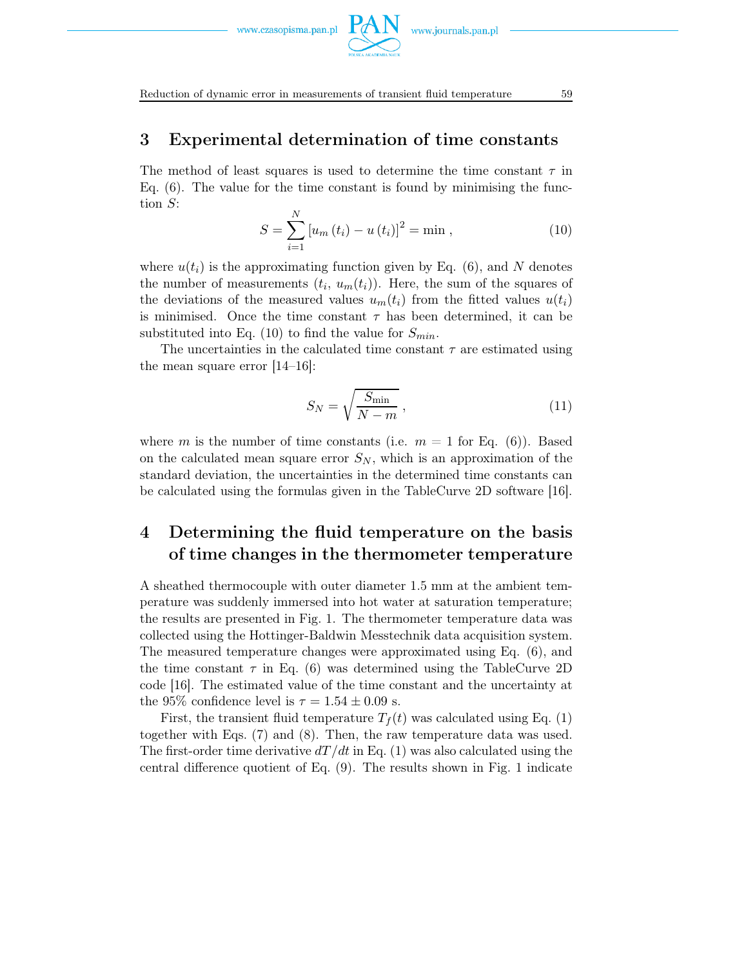

### 3 Experimental determination of time constants

The method of least squares is used to determine the time constant  $\tau$  in Eq. (6). The value for the time constant is found by minimising the function S:

$$
S = \sum_{i=1}^{N} [u_m(t_i) - u(t_i)]^2 = \min ,
$$
 (10)

where  $u(t_i)$  is the approximating function given by Eq. (6), and N denotes the number of measurements  $(t_i, u_m(t_i))$ . Here, the sum of the squares of the deviations of the measured values  $u_m(t_i)$  from the fitted values  $u(t_i)$ is minimised. Once the time constant  $\tau$  has been determined, it can be substituted into Eq. (10) to find the value for  $S_{min}$ .

The uncertainties in the calculated time constant  $\tau$  are estimated using the mean square error [14–16]:

$$
S_N = \sqrt{\frac{S_{\min}}{N-m}}\,,\tag{11}
$$

where m is the number of time constants (i.e.  $m = 1$  for Eq. (6)). Based on the calculated mean square error  $S_N$ , which is an approximation of the standard deviation, the uncertainties in the determined time constants can be calculated using the formulas given in the TableCurve 2D software [16].

## 4 Determining the fluid temperature on the basis of time changes in the thermometer temperature

A sheathed thermocouple with outer diameter 1.5 mm at the ambient temperature was suddenly immersed into hot water at saturation temperature; the results are presented in Fig. 1. The thermometer temperature data was collected using the Hottinger-Baldwin Messtechnik data acquisition system. The measured temperature changes were approximated using Eq. (6), and the time constant  $\tau$  in Eq. (6) was determined using the TableCurve 2D code [16]. The estimated value of the time constant and the uncertainty at the 95% confidence level is  $\tau = 1.54 \pm 0.09$  s.

First, the transient fluid temperature  $T_f(t)$  was calculated using Eq. (1) together with Eqs. (7) and (8). Then, the raw temperature data was used. The first-order time derivative  $dT/dt$  in Eq. (1) was also calculated using the central difference quotient of Eq. (9). The results shown in Fig. 1 indicate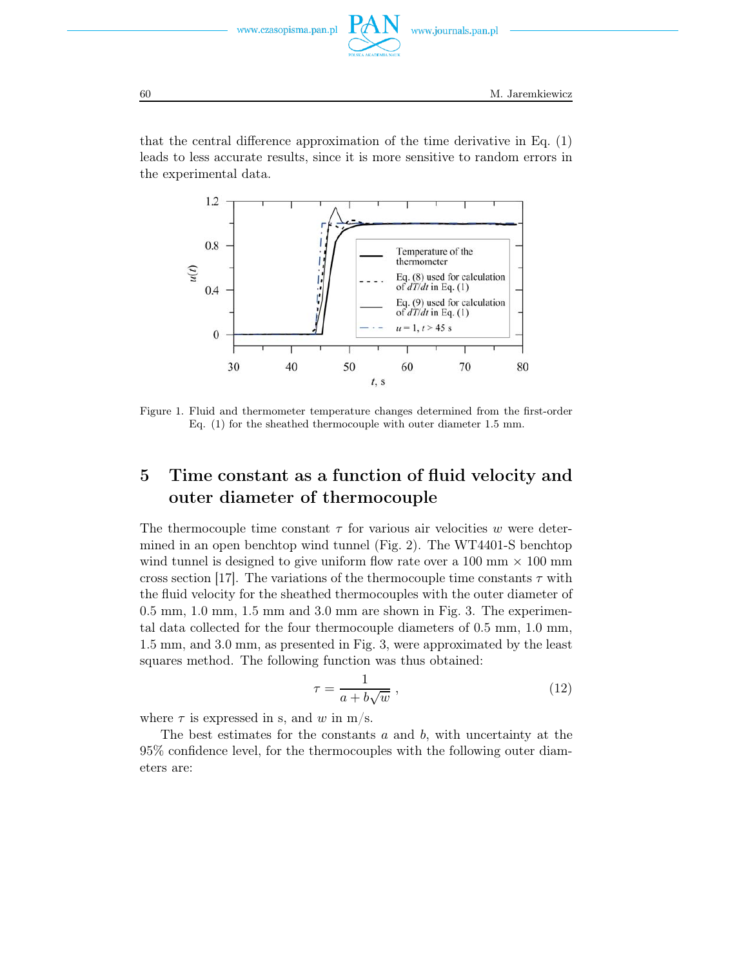

that the central difference approximation of the time derivative in Eq. (1) leads to less accurate results, since it is more sensitive to random errors in the experimental data.



Figure 1. Fluid and thermometer temperature changes determined from the first-order Eq. (1) for the sheathed thermocouple with outer diameter 1.5 mm.

## 5 Time constant as a function of fluid velocity and outer diameter of thermocouple

The thermocouple time constant  $\tau$  for various air velocities w were determined in an open benchtop wind tunnel (Fig. 2). The WT4401-S benchtop wind tunnel is designed to give uniform flow rate over a 100 mm  $\times$  100 mm cross section [17]. The variations of the thermocouple time constants  $\tau$  with the fluid velocity for the sheathed thermocouples with the outer diameter of 0.5 mm, 1.0 mm, 1.5 mm and 3.0 mm are shown in Fig. 3. The experimental data collected for the four thermocouple diameters of 0.5 mm, 1.0 mm, 1.5 mm, and 3.0 mm, as presented in Fig. 3, were approximated by the least squares method. The following function was thus obtained:

$$
\tau = \frac{1}{a + b\sqrt{w}} \,,\tag{12}
$$

where  $\tau$  is expressed in s, and w in m/s.

The best estimates for the constants  $a$  and  $b$ , with uncertainty at the 95% confidence level, for the thermocouples with the following outer diameters are: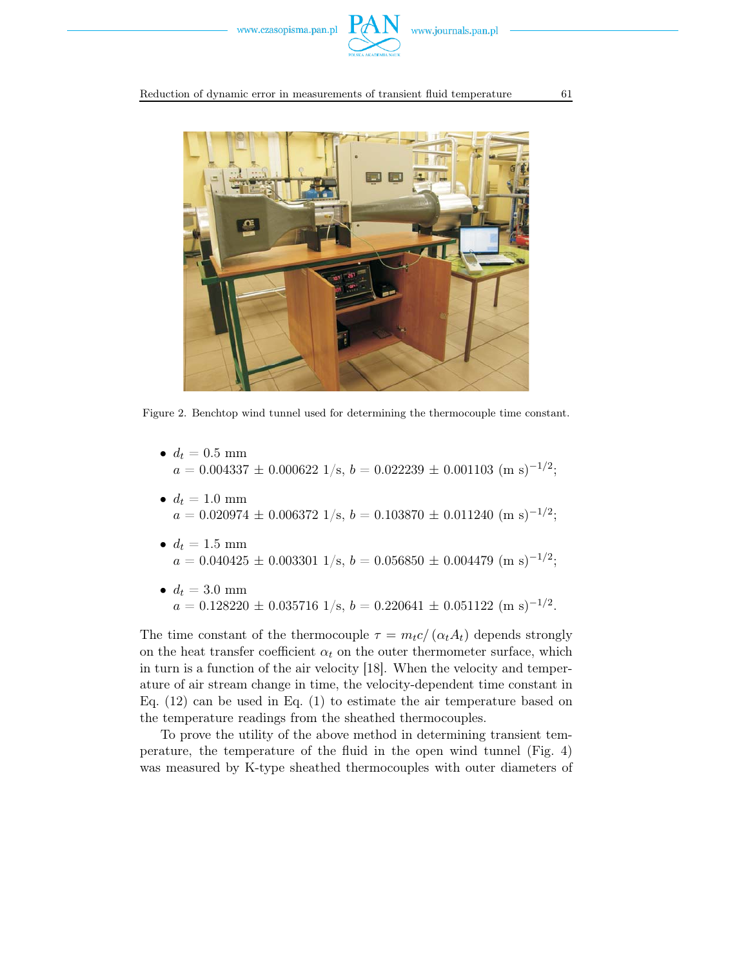



Figure 2. Benchtop wind tunnel used for determining the thermocouple time constant.

- $d_t = 0.5$  mm  $a = 0.004337 \pm 0.000622$  1/s,  $b = 0.022239 \pm 0.001103$  (m s)<sup>-1/2</sup>;
- $d_t = 1.0$  mm  $a = 0.020974 \pm 0.006372 \frac{1}{s}$ ,  $b = 0.103870 \pm 0.011240 \ (m \text{ s})^{-1/2}$ ;
- $d_t = 1.5$  mm  $a = 0.040425 \pm 0.003301$  1/s,  $b = 0.056850 \pm 0.004479$  (m s)<sup>-1/2</sup>;
- $d_t = 3.0$  mm  $a = 0.128220 \pm 0.035716 \frac{1}{s}$ ,  $b = 0.220641 \pm 0.051122 \text{ (m s)}^{-1/2}$ .

The time constant of the thermocouple  $\tau = m_t c / (\alpha_t A_t)$  depends strongly on the heat transfer coefficient  $\alpha_t$  on the outer thermometer surface, which in turn is a function of the air velocity [18]. When the velocity and temperature of air stream change in time, the velocity-dependent time constant in Eq. (12) can be used in Eq. (1) to estimate the air temperature based on the temperature readings from the sheathed thermocouples.

To prove the utility of the above method in determining transient temperature, the temperature of the fluid in the open wind tunnel (Fig. 4) was measured by K-type sheathed thermocouples with outer diameters of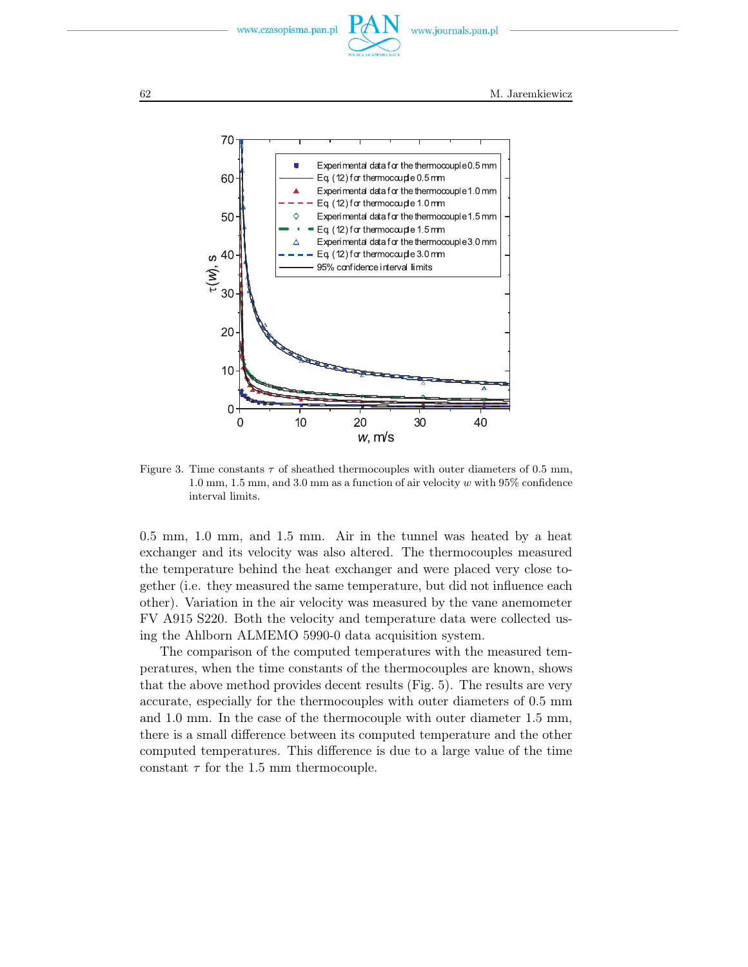



Figure 3. Time constants  $\tau$  of sheathed thermocouples with outer diameters of 0.5 mm, 1.0 mm, 1.5 mm, and 3.0 mm as a function of air velocity  $w$  with 95% confidence interval limits.

0.5 mm, 1.0 mm, and 1.5 mm. Air in the tunnel was heated by a heat exchanger and its velocity was also altered. The thermocouples measured the temperature behind the heat exchanger and were placed very close together (i.e. they measured the same temperature, but did not influence each other). Variation in the air velocity was measured by the vane anemometer FV A915 S220. Both the velocity and temperature data were collected using the Ahlborn ALMEMO 5990-0 data acquisition system.

The comparison of the computed temperatures with the measured temperatures, when the time constants of the thermocouples are known, shows that the above method provides decent results (Fig. 5). The results are very accurate, especially for the thermocouples with outer diameters of 0.5 mm and 1.0 mm. In the case of the thermocouple with outer diameter 1.5 mm, there is a small difference between its computed temperature and the other computed temperatures. This difference is due to a large value of the time constant  $\tau$  for the 1.5 mm thermocouple.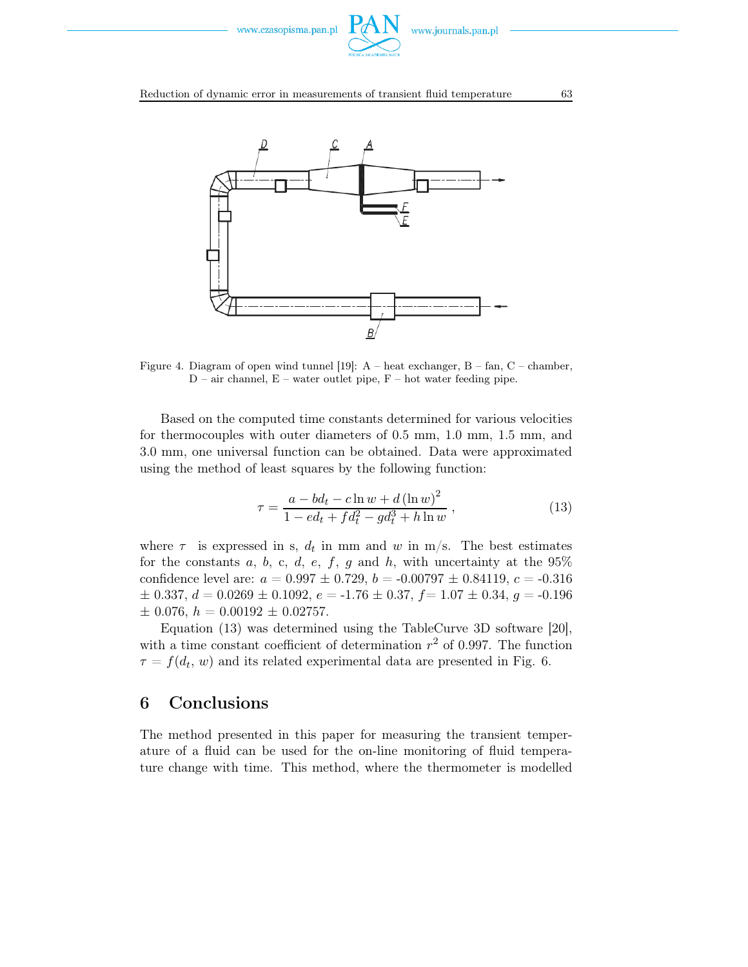



Figure 4. Diagram of open wind tunnel [19]:  $A$  – heat exchanger,  $B$  – fan,  $C$  – chamber,  $D$  – air channel,  $E$  – water outlet pipe,  $F$  – hot water feeding pipe.

Based on the computed time constants determined for various velocities for thermocouples with outer diameters of 0.5 mm, 1.0 mm, 1.5 mm, and 3.0 mm, one universal function can be obtained. Data were approximated using the method of least squares by the following function:

$$
\tau = \frac{a - bd_t - c \ln w + d (\ln w)^2}{1 - ed_t + fd_t^2 - gd_t^3 + h \ln w},
$$
\n(13)

where  $\tau$  is expressed in s,  $d_t$  in mm and w in m/s. The best estimates for the constants a, b, c, d, e, f, g and h, with uncertainty at the  $95\%$ confidence level are:  $a = 0.997 \pm 0.729$ ,  $b = -0.00797 \pm 0.84119$ ,  $c = -0.316$  $\pm$  0.337,  $d = 0.0269 \pm 0.1092$ ,  $e = -1.76 \pm 0.37$ ,  $f = 1.07 \pm 0.34$ ,  $g = -0.196$  $\pm$  0.076,  $h = 0.00192 \pm 0.02757$ .

Equation (13) was determined using the TableCurve 3D software [20], with a time constant coefficient of determination  $r^2$  of 0.997. The function  $\tau = f(d_t, w)$  and its related experimental data are presented in Fig. 6.

#### 6 Conclusions

The method presented in this paper for measuring the transient temperature of a fluid can be used for the on-line monitoring of fluid temperature change with time. This method, where the thermometer is modelled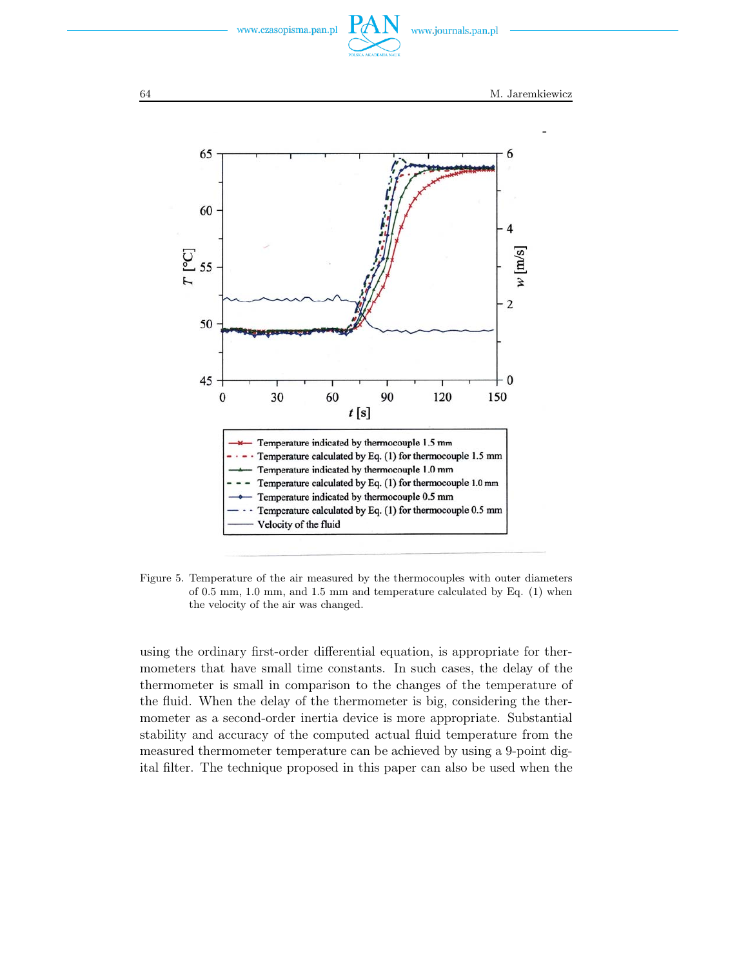



Figure 5. Temperature of the air measured by the thermocouples with outer diameters of 0.5 mm, 1.0 mm, and 1.5 mm and temperature calculated by Eq. (1) when the velocity of the air was changed.

using the ordinary first-order differential equation, is appropriate for thermometers that have small time constants. In such cases, the delay of the thermometer is small in comparison to the changes of the temperature of the fluid. When the delay of the thermometer is big, considering the thermometer as a second-order inertia device is more appropriate. Substantial stability and accuracy of the computed actual fluid temperature from the measured thermometer temperature can be achieved by using a 9-point digital filter. The technique proposed in this paper can also be used when the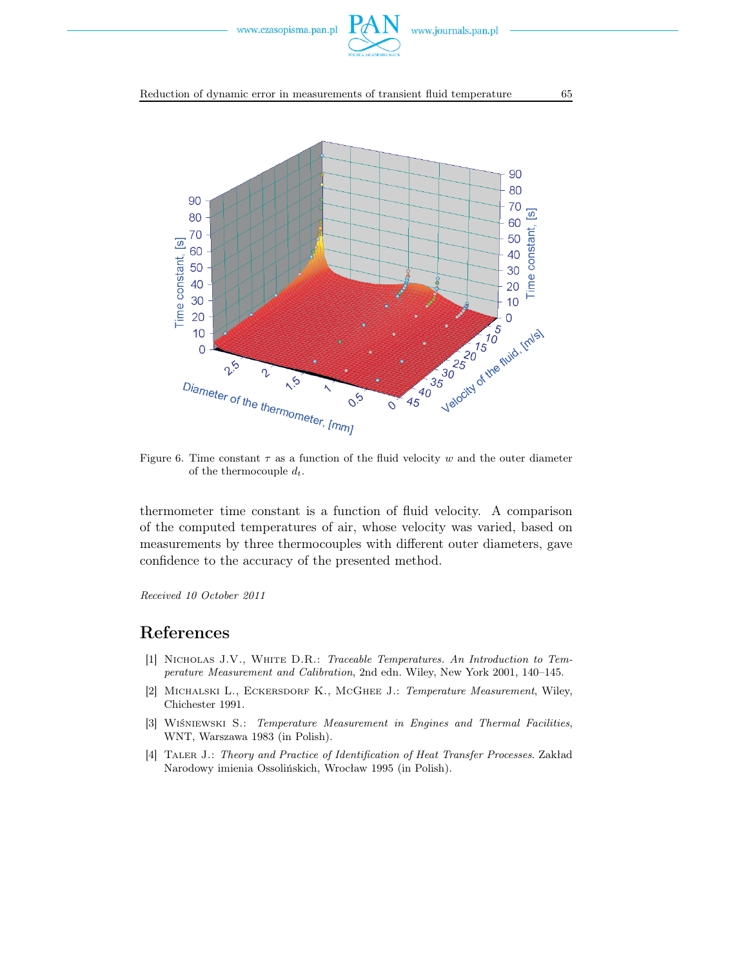



Figure 6. Time constant  $\tau$  as a function of the fluid velocity w and the outer diameter of the thermocouple d*t*.

thermometer time constant is a function of fluid velocity. A comparison of the computed temperatures of air, whose velocity was varied, based on measurements by three thermocouples with different outer diameters, gave confidence to the accuracy of the presented method.

*Received 10 October 2011*

## References

- [1] Nicholas J.V., White D.R.: *Traceable Temperatures. An Introduction to Temperature Measurement and Calibration*, 2nd edn. Wiley, New York 2001, 140–145.
- [2] Michalski L., Eckersdorf K., McGhee J.: *Temperature Measurement*, Wiley, Chichester 1991.
- [3] Wiśniewski S.: *Temperature Measurement in Engines and Thermal Facilities*, WNT, Warszawa 1983 (in Polish).
- [4] Taler J.: *Theory and Practice of Identification of Heat Transfer Processes*. Zakład Narodowy imienia Ossolińskich, Wrocław 1995 (in Polish).